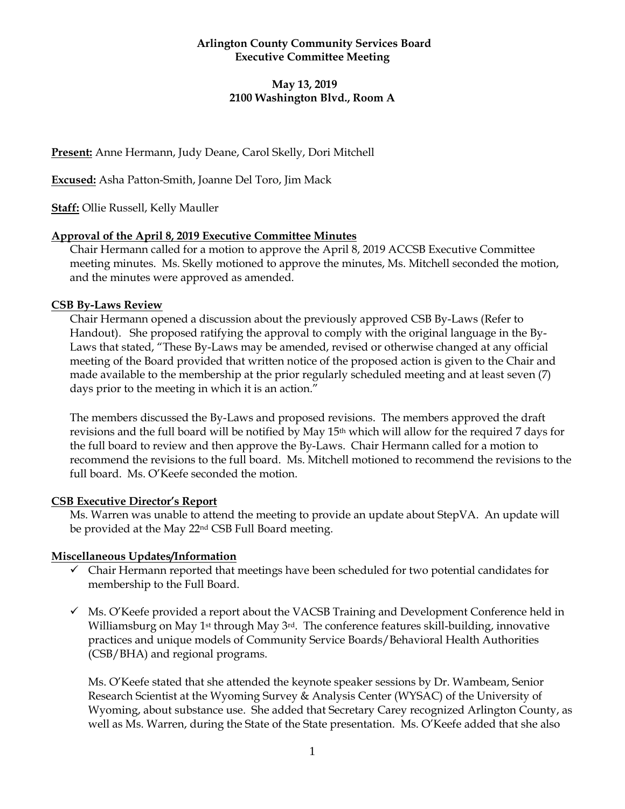## **Arlington County Community Services Board Executive Committee Meeting**

# **May 13, 2019 2100 Washington Blvd., Room A**

**Present:** Anne Hermann, Judy Deane, Carol Skelly, Dori Mitchell

**Excused:** Asha Patton-Smith, Joanne Del Toro, Jim Mack

**Staff:** Ollie Russell, Kelly Mauller

#### **Approval of the April 8, 2019 Executive Committee Minutes**

Chair Hermann called for a motion to approve the April 8, 2019 ACCSB Executive Committee meeting minutes. Ms. Skelly motioned to approve the minutes, Ms. Mitchell seconded the motion, and the minutes were approved as amended.

#### **CSB By-Laws Review**

Chair Hermann opened a discussion about the previously approved CSB By-Laws (Refer to Handout). She proposed ratifying the approval to comply with the original language in the By-Laws that stated, "These By-Laws may be amended, revised or otherwise changed at any official meeting of the Board provided that written notice of the proposed action is given to the Chair and made available to the membership at the prior regularly scheduled meeting and at least seven (7) days prior to the meeting in which it is an action."

The members discussed the By-Laws and proposed revisions. The members approved the draft revisions and the full board will be notified by May 15th which will allow for the required 7 days for the full board to review and then approve the By-Laws. Chair Hermann called for a motion to recommend the revisions to the full board. Ms. Mitchell motioned to recommend the revisions to the full board. Ms. O'Keefe seconded the motion.

## **CSB Executive Director's Report**

Ms. Warren was unable to attend the meeting to provide an update about StepVA. An update will be provided at the May 22nd CSB Full Board meeting.

## **Miscellaneous Updates/Information**

- ✓ Chair Hermann reported that meetings have been scheduled for two potential candidates for membership to the Full Board.
- $\checkmark$  Ms. O'Keefe provided a report about the VACSB Training and Development Conference held in Williamsburg on May 1st through May 3rd. The conference features skill-building, innovative practices and unique models of Community Service Boards/Behavioral Health Authorities (CSB/BHA) and regional programs.

Ms. O'Keefe stated that she attended the keynote speaker sessions by Dr. Wambeam, Senior Research Scientist at the Wyoming Survey & Analysis Center (WYSAC) of the University of Wyoming, about substance use. She added that Secretary Carey recognized Arlington County, as well as Ms. Warren, during the State of the State presentation. Ms. O'Keefe added that she also